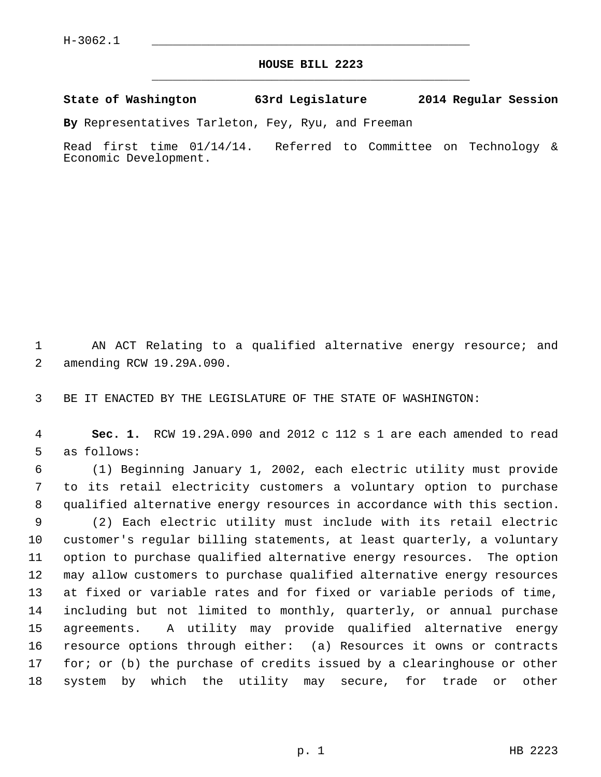## **HOUSE BILL 2223** \_\_\_\_\_\_\_\_\_\_\_\_\_\_\_\_\_\_\_\_\_\_\_\_\_\_\_\_\_\_\_\_\_\_\_\_\_\_\_\_\_\_\_\_\_

## **State of Washington 63rd Legislature 2014 Regular Session**

**By** Representatives Tarleton, Fey, Ryu, and Freeman

Read first time 01/14/14. Referred to Committee on Technology & Economic Development.

 1 AN ACT Relating to a qualified alternative energy resource; and 2 amending RCW 19.29A.090.

3 BE IT ENACTED BY THE LEGISLATURE OF THE STATE OF WASHINGTON:

 4 **Sec. 1.** RCW 19.29A.090 and 2012 c 112 s 1 are each amended to read 5 as follows:

 6 (1) Beginning January 1, 2002, each electric utility must provide 7 to its retail electricity customers a voluntary option to purchase 8 qualified alternative energy resources in accordance with this section. 9 (2) Each electric utility must include with its retail electric 10 customer's regular billing statements, at least quarterly, a voluntary 11 option to purchase qualified alternative energy resources. The option 12 may allow customers to purchase qualified alternative energy resources 13 at fixed or variable rates and for fixed or variable periods of time, 14 including but not limited to monthly, quarterly, or annual purchase 15 agreements. A utility may provide qualified alternative energy 16 resource options through either: (a) Resources it owns or contracts 17 for; or (b) the purchase of credits issued by a clearinghouse or other 18 system by which the utility may secure, for trade or other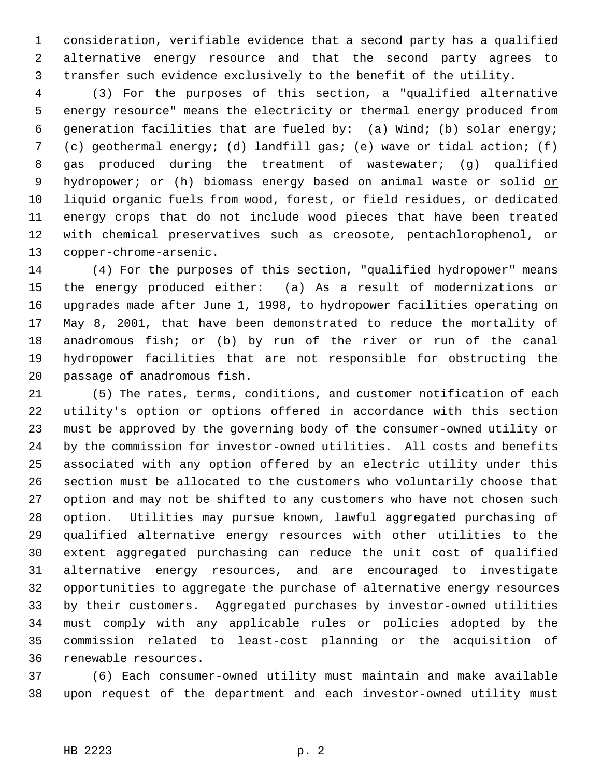1 consideration, verifiable evidence that a second party has a qualified 2 alternative energy resource and that the second party agrees to 3 transfer such evidence exclusively to the benefit of the utility.

 4 (3) For the purposes of this section, a "qualified alternative 5 energy resource" means the electricity or thermal energy produced from 6 generation facilities that are fueled by: (a) Wind; (b) solar energy; 7 (c) geothermal energy; (d) landfill gas; (e) wave or tidal action; (f) 8 gas produced during the treatment of wastewater; (g) qualified 9 hydropower; or (h) biomass energy based on animal waste or solid or 10 liquid organic fuels from wood, forest, or field residues, or dedicated 11 energy crops that do not include wood pieces that have been treated 12 with chemical preservatives such as creosote, pentachlorophenol, or 13 copper-chrome-arsenic.

14 (4) For the purposes of this section, "qualified hydropower" means 15 the energy produced either: (a) As a result of modernizations or 16 upgrades made after June 1, 1998, to hydropower facilities operating on 17 May 8, 2001, that have been demonstrated to reduce the mortality of 18 anadromous fish; or (b) by run of the river or run of the canal 19 hydropower facilities that are not responsible for obstructing the 20 passage of anadromous fish.

21 (5) The rates, terms, conditions, and customer notification of each 22 utility's option or options offered in accordance with this section 23 must be approved by the governing body of the consumer-owned utility or 24 by the commission for investor-owned utilities. All costs and benefits 25 associated with any option offered by an electric utility under this 26 section must be allocated to the customers who voluntarily choose that 27 option and may not be shifted to any customers who have not chosen such 28 option. Utilities may pursue known, lawful aggregated purchasing of 29 qualified alternative energy resources with other utilities to the 30 extent aggregated purchasing can reduce the unit cost of qualified 31 alternative energy resources, and are encouraged to investigate 32 opportunities to aggregate the purchase of alternative energy resources 33 by their customers. Aggregated purchases by investor-owned utilities 34 must comply with any applicable rules or policies adopted by the 35 commission related to least-cost planning or the acquisition of 36 renewable resources.

37 (6) Each consumer-owned utility must maintain and make available 38 upon request of the department and each investor-owned utility must